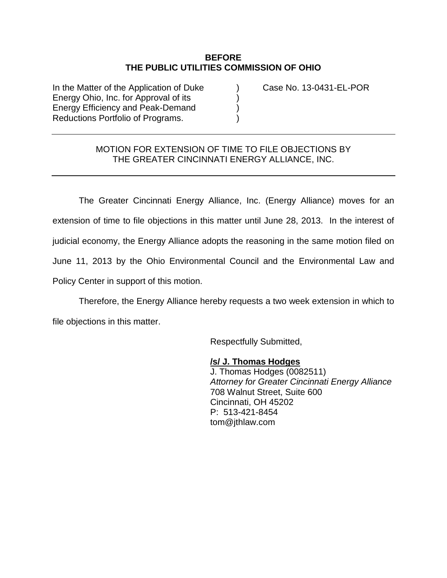## **BEFORE THE PUBLIC UTILITIES COMMISSION OF OHIO**

In the Matter of the Application of Duke (a) Case No. 13-0431-EL-POR Energy Ohio, Inc. for Approval of its ) Energy Efficiency and Peak-Demand ) Reductions Portfolio of Programs.

## MOTION FOR EXTENSION OF TIME TO FILE OBJECTIONS BY THE GREATER CINCINNATI ENERGY ALLIANCE, INC.

The Greater Cincinnati Energy Alliance, Inc. (Energy Alliance) moves for an extension of time to file objections in this matter until June 28, 2013. In the interest of judicial economy, the Energy Alliance adopts the reasoning in the same motion filed on June 11, 2013 by the Ohio Environmental Council and the Environmental Law and Policy Center in support of this motion.

Therefore, the Energy Alliance hereby requests a two week extension in which to file objections in this matter.

Respectfully Submitted,

**/s/ J. Thomas Hodges** J. Thomas Hodges (0082511) *Attorney for Greater Cincinnati Energy Alliance* 708 Walnut Street, Suite 600 Cincinnati, OH 45202 P: 513-421-8454 tom@jthlaw.com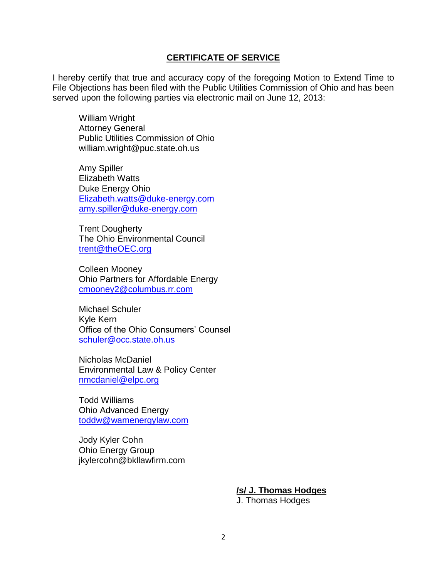## **CERTIFICATE OF SERVICE**

I hereby certify that true and accuracy copy of the foregoing Motion to Extend Time to File Objections has been filed with the Public Utilities Commission of Ohio and has been served upon the following parties via electronic mail on June 12, 2013:

William Wright Attorney General Public Utilities Commission of Ohio william.wright@puc.state.oh.us

Amy Spiller Elizabeth Watts Duke Energy Ohio [Elizabeth.watts@duke-energy.com](mailto:Elizabeth.watts@duke-energy.com) [amy.spiller@duke-energy.com](mailto:amy.spiller@duke-energy.com)

Trent Dougherty The Ohio Environmental Council [trent@theOEC.org](mailto:trent@theOEC.org)

Colleen Mooney Ohio Partners for Affordable Energy [cmooney2@columbus.rr.com](mailto:cmooney2@columbus.rr.com)

Michael Schuler Kyle Kern Office of the Ohio Consumers' Counsel [schuler@occ.state.oh.us](mailto:schuler@occ.state.oh.us)

Nicholas McDaniel Environmental Law & Policy Center [nmcdaniel@elpc.org](mailto:nmcdaniel@elpc.org)

Todd Williams Ohio Advanced Energy [toddw@wamenergylaw.com](mailto:toddw@wamenergylaw.com)

Jody Kyler Cohn Ohio Energy Group jkylercohn@bkllawfirm.com

**/s/ J. Thomas Hodges**

J. Thomas Hodges